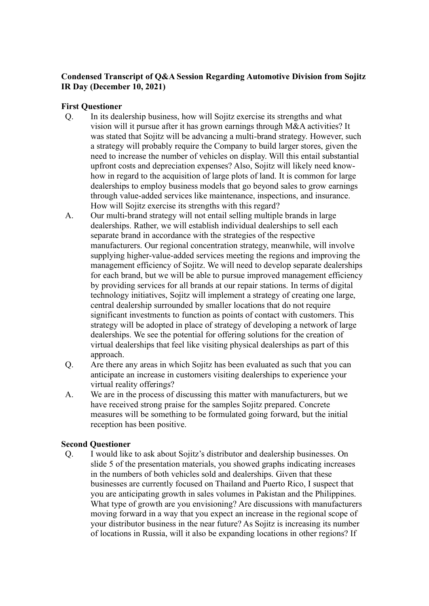# **Condensed Transcript of Q&A Session Regarding Automotive Division from Sojitz IR Day (December 10, 2021)**

## **First Questioner**

- Q. In its dealership business, how will Sojitz exercise its strengths and what vision will it pursue after it has grown earnings through M&A activities? It was stated that Sojitz will be advancing a multi-brand strategy. However, such a strategy will probably require the Company to build larger stores, given the need to increase the number of vehicles on display. Will this entail substantial upfront costs and depreciation expenses? Also, Sojitz will likely need knowhow in regard to the acquisition of large plots of land. It is common for large dealerships to employ business models that go beyond sales to grow earnings through value-added services like maintenance, inspections, and insurance. How will Sojitz exercise its strengths with this regard?
- A. Our multi-brand strategy will not entail selling multiple brands in large dealerships. Rather, we will establish individual dealerships to sell each separate brand in accordance with the strategies of the respective manufacturers. Our regional concentration strategy, meanwhile, will involve supplying higher-value-added services meeting the regions and improving the management efficiency of Sojitz. We will need to develop separate dealerships for each brand, but we will be able to pursue improved management efficiency by providing services for all brands at our repair stations. In terms of digital technology initiatives, Sojitz will implement a strategy of creating one large, central dealership surrounded by smaller locations that do not require significant investments to function as points of contact with customers. This strategy will be adopted in place of strategy of developing a network of large dealerships. We see the potential for offering solutions for the creation of virtual dealerships that feel like visiting physical dealerships as part of this approach.
- Q. Are there any areas in which Sojitz has been evaluated as such that you can anticipate an increase in customers visiting dealerships to experience your virtual reality offerings?
- A. We are in the process of discussing this matter with manufacturers, but we have received strong praise for the samples Sojitz prepared. Concrete measures will be something to be formulated going forward, but the initial reception has been positive.

#### **Second Questioner**

Q. I would like to ask about Sojitz's distributor and dealership businesses. On slide 5 of the presentation materials, you showed graphs indicating increases in the numbers of both vehicles sold and dealerships. Given that these businesses are currently focused on Thailand and Puerto Rico, I suspect that you are anticipating growth in sales volumes in Pakistan and the Philippines. What type of growth are you envisioning? Are discussions with manufacturers moving forward in a way that you expect an increase in the regional scope of your distributor business in the near future? As Sojitz is increasing its number of locations in Russia, will it also be expanding locations in other regions? If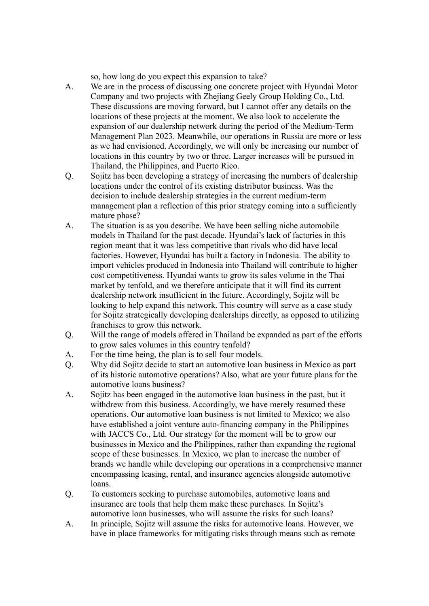so, how long do you expect this expansion to take?

- A. We are in the process of discussing one concrete project with Hyundai Motor Company and two projects with Zhejiang Geely Group Holding Co., Ltd. These discussions are moving forward, but I cannot offer any details on the locations of these projects at the moment. We also look to accelerate the expansion of our dealership network during the period of the Medium-Term Management Plan 2023. Meanwhile, our operations in Russia are more or less as we had envisioned. Accordingly, we will only be increasing our number of locations in this country by two or three. Larger increases will be pursued in Thailand, the Philippines, and Puerto Rico.
- Q. Sojitz has been developing a strategy of increasing the numbers of dealership locations under the control of its existing distributor business. Was the decision to include dealership strategies in the current medium-term management plan a reflection of this prior strategy coming into a sufficiently mature phase?
- A. The situation is as you describe. We have been selling niche automobile models in Thailand for the past decade. Hyundai's lack of factories in this region meant that it was less competitive than rivals who did have local factories. However, Hyundai has built a factory in Indonesia. The ability to import vehicles produced in Indonesia into Thailand will contribute to higher cost competitiveness. Hyundai wants to grow its sales volume in the Thai market by tenfold, and we therefore anticipate that it will find its current dealership network insufficient in the future. Accordingly, Sojitz will be looking to help expand this network. This country will serve as a case study for Sojitz strategically developing dealerships directly, as opposed to utilizing franchises to grow this network.
- Q. Will the range of models offered in Thailand be expanded as part of the efforts to grow sales volumes in this country tenfold?
- A. For the time being, the plan is to sell four models.
- Q. Why did Sojitz decide to start an automotive loan business in Mexico as part of its historic automotive operations? Also, what are your future plans for the automotive loans business?
- A. Sojitz has been engaged in the automotive loan business in the past, but it withdrew from this business. Accordingly, we have merely resumed these operations. Our automotive loan business is not limited to Mexico; we also have established a joint venture auto-financing company in the Philippines with JACCS Co., Ltd. Our strategy for the moment will be to grow our businesses in Mexico and the Philippines, rather than expanding the regional scope of these businesses. In Mexico, we plan to increase the number of brands we handle while developing our operations in a comprehensive manner encompassing leasing, rental, and insurance agencies alongside automotive loans.
- Q. To customers seeking to purchase automobiles, automotive loans and insurance are tools that help them make these purchases. In Sojitz's automotive loan businesses, who will assume the risks for such loans?
- A. In principle, Sojitz will assume the risks for automotive loans. However, we have in place frameworks for mitigating risks through means such as remote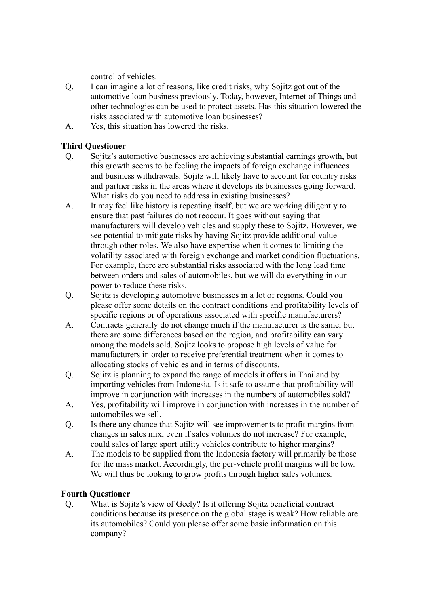control of vehicles.

- Q. I can imagine a lot of reasons, like credit risks, why Sojitz got out of the automotive loan business previously. Today, however, Internet of Things and other technologies can be used to protect assets. Has this situation lowered the risks associated with automotive loan businesses?
- A. Yes, this situation has lowered the risks.

## **Third Questioner**

- Q. Sojitz's automotive businesses are achieving substantial earnings growth, but this growth seems to be feeling the impacts of foreign exchange influences and business withdrawals. Sojitz will likely have to account for country risks and partner risks in the areas where it develops its businesses going forward. What risks do you need to address in existing businesses?
- A. It may feel like history is repeating itself, but we are working diligently to ensure that past failures do not reoccur. It goes without saying that manufacturers will develop vehicles and supply these to Sojitz. However, we see potential to mitigate risks by having Sojitz provide additional value through other roles. We also have expertise when it comes to limiting the volatility associated with foreign exchange and market condition fluctuations. For example, there are substantial risks associated with the long lead time between orders and sales of automobiles, but we will do everything in our power to reduce these risks.
- Q. Sojitz is developing automotive businesses in a lot of regions. Could you please offer some details on the contract conditions and profitability levels of specific regions or of operations associated with specific manufacturers?
- A. Contracts generally do not change much if the manufacturer is the same, but there are some differences based on the region, and profitability can vary among the models sold. Sojitz looks to propose high levels of value for manufacturers in order to receive preferential treatment when it comes to allocating stocks of vehicles and in terms of discounts.
- Q. Sojitz is planning to expand the range of models it offers in Thailand by importing vehicles from Indonesia. Is it safe to assume that profitability will improve in conjunction with increases in the numbers of automobiles sold?
- A. Yes, profitability will improve in conjunction with increases in the number of automobiles we sell.
- Q. Is there any chance that Sojitz will see improvements to profit margins from changes in sales mix, even if sales volumes do not increase? For example, could sales of large sport utility vehicles contribute to higher margins?
- A. The models to be supplied from the Indonesia factory will primarily be those for the mass market. Accordingly, the per-vehicle profit margins will be low. We will thus be looking to grow profits through higher sales volumes.

## **Fourth Questioner**

Q. What is Sojitz's view of Geely? Is it offering Sojitz beneficial contract conditions because its presence on the global stage is weak? How reliable are its automobiles? Could you please offer some basic information on this company?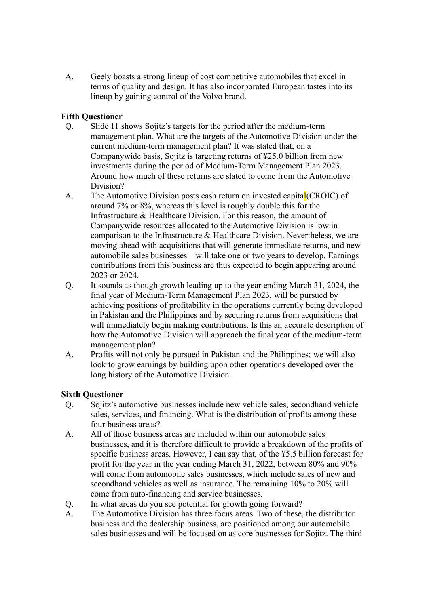A. Geely boasts a strong lineup of cost competitive automobiles that excel in terms of quality and design. It has also incorporated European tastes into its lineup by gaining control of the Volvo brand.

## **Fifth Questioner**

- Q. Slide 11 shows Sojitz's targets for the period after the medium-term management plan. What are the targets of the Automotive Division under the current medium-term management plan? It was stated that, on a Companywide basis, Sojitz is targeting returns of ¥25.0 billion from new investments during the period of Medium-Term Management Plan 2023. Around how much of these returns are slated to come from the Automotive Division?
- A. The Automotive Division posts cash return on invested capital (CROIC) of around 7% or 8%, whereas this level is roughly double this for the Infrastructure & Healthcare Division. For this reason, the amount of Companywide resources allocated to the Automotive Division is low in comparison to the Infrastructure & Healthcare Division. Nevertheless, we are moving ahead with acquisitions that will generate immediate returns, and new automobile sales businesses will take one or two years to develop. Earnings contributions from this business are thus expected to begin appearing around 2023 or 2024.
- Q. It sounds as though growth leading up to the year ending March 31, 2024, the final year of Medium-Term Management Plan 2023, will be pursued by achieving positions of profitability in the operations currently being developed in Pakistan and the Philippines and by securing returns from acquisitions that will immediately begin making contributions. Is this an accurate description of how the Automotive Division will approach the final year of the medium-term management plan?
- A. Profits will not only be pursued in Pakistan and the Philippines; we will also look to grow earnings by building upon other operations developed over the long history of the Automotive Division.

## **Sixth Questioner**

- Q. Sojitz's automotive businesses include new vehicle sales, secondhand vehicle sales, services, and financing. What is the distribution of profits among these four business areas?
- A. All of those business areas are included within our automobile sales businesses, and it is therefore difficult to provide a breakdown of the profits of specific business areas. However, I can say that, of the ¥5.5 billion forecast for profit for the year in the year ending March 31, 2022, between 80% and 90% will come from automobile sales businesses, which include sales of new and secondhand vehicles as well as insurance. The remaining 10% to 20% will come from auto-financing and service businesses.
- Q. In what areas do you see potential for growth going forward?
- A. The Automotive Division has three focus areas. Two of these, the distributor business and the dealership business, are positioned among our automobile sales businesses and will be focused on as core businesses for Sojitz. The third